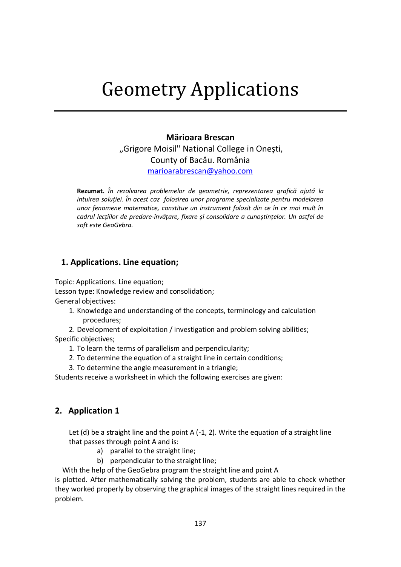## **Mărioara Brescan** "Grigore Moisil" National College in Oneşti, County of Bacău. România [marioarabrescan@yahoo.com](mailto:marioarabrescan@yahoo.com)

**Rezumat.** *În rezolvarea problemelor de geometrie, reprezentarea grafică ajută la intuirea soluţiei. În acest caz folosirea unor programe specializate pentru modelarea unor fenomene matematice, constitue un instrument folosit din ce în ce mai mult în cadrul lecţiilor de predare-învăţare, fixare şi consolidare a cunoştinţelor. Un astfel de soft este GeoGebra.*

## **1. Applications. Line equation;**

Topic: Applications. Line equation; Lesson type: Knowledge review and consolidation; General objectives:

1. Knowledge and understanding of the concepts, terminology and calculation procedures;

2. Development of exploitation / investigation and problem solving abilities; Specific objectives;

- 1. To learn the terms of parallelism and perpendicularity;
- 2. To determine the equation of a straight line in certain conditions;
- 3. To determine the angle measurement in a triangle;

Students receive a worksheet in which the following exercises are given:

# **2. Application 1**

Let  $(d)$  be a straight line and the point A  $(-1, 2)$ . Write the equation of a straight line that passes through point A and is:

- a) parallel to the straight line;
- b) perpendicular to the straight line;

With the help of the GeoGebra program the straight line and point A

is plotted. After mathematically solving the problem, students are able to check whether they worked properly by observing the graphical images of the straight lines required in the problem.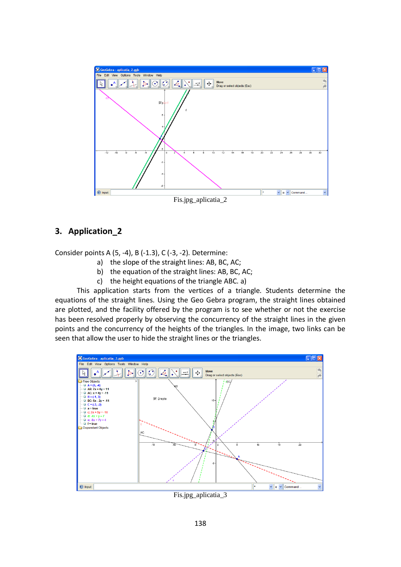

#### **3. Application\_2**

Consider points A (5, -4), B (-1.3), C (-3, -2). Determine:

- a) the slope of the straight lines: AB, BC, AC;
- b) the equation of the straight lines: AB, BC, AC;
- c) the height equations of the triangle ABC. a)

This application starts from the vertices of a triangle. Students determine the equations of the straight lines. Using the Geo Gebra program, the straight lines obtained are plotted, and the facility offered by the program is to see whether or not the exercise has been resolved properly by observing the concurrency of the straight lines in the given points and the concurrency of the heights of the triangles. In the image, two links can be seen that allow the user to hide the straight lines or the triangles.



Fis.jpg\_aplicatia\_3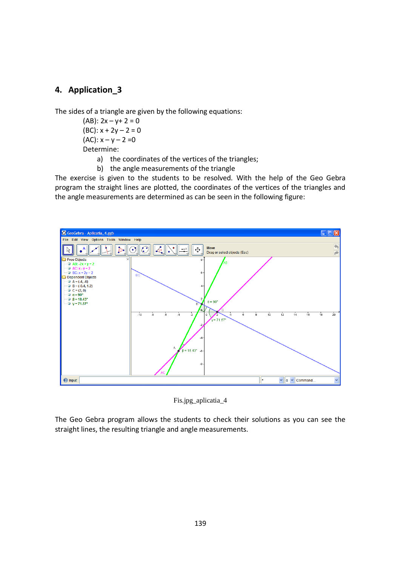#### **4. Application\_3**

The sides of a triangle are given by the following equations:

 $(AB): 2x - y + 2 = 0$  $(BC): x + 2y - 2 = 0$ (AC):  $x - y - 2 = 0$ Determine:

a) the coordinates of the vertices of the triangles;

b) the angle measurements of the triangle

The exercise is given to the students to be resolved. With the help of the Geo Gebra program the straight lines are plotted, the coordinates of the vertices of the triangles and the angle measurements are determined as can be seen in the following figure:



Fis.jpg\_aplicatia\_4

The Geo Gebra program allows the students to check their solutions as you can see the straight lines, the resulting triangle and angle measurements.